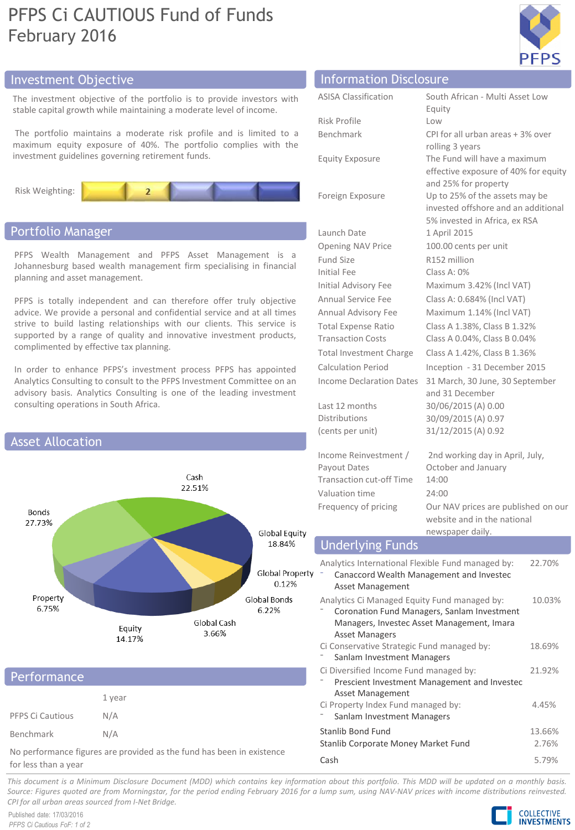# PFPS Ci CAUTIOUS Fund of Funds February 2016



## Investment Objective

The investment objective of the portfolio is to provide investors with stable capital growth while maintaining a moderate level of income.

The portfolio maintains a moderate risk profile and is limited to a maximum equity exposure of 40%. The portfolio complies with the investment guidelines governing retirement funds.



### Portfolio Manager

PFPS Wealth Management and PFPS Asset Management is a Johannesburg based wealth management firm specialising in financial planning and asset management.

PFPS is totally independent and can therefore offer truly objective advice. We provide a personal and confidential service and at all times strive to build lasting relationships with our clients. This service is supported by a range of quality and innovative investment products, complimented by effective tax planning.

In order to enhance PFPS's investment process PFPS has appointed Analytics Consulting to consult to the PFPS Investment Committee on an advisory basis. Analytics Consulting is one of the leading investment consulting operations in South Africa.



## 1 year PFPS Ci Cautious N/A Benchmark N/A Performance

No performance figures are provided as the fund has been in existence for less than a year

| <b>Information Disclosure</b>   |                                                                    |  |  |
|---------------------------------|--------------------------------------------------------------------|--|--|
| <b>ASISA Classification</b>     | South African - Multi Asset Low                                    |  |  |
|                                 | Equity                                                             |  |  |
| Risk Profile                    | Low                                                                |  |  |
| Benchmark                       | CPI for all urban areas + 3% over                                  |  |  |
|                                 | rolling 3 years                                                    |  |  |
| <b>Equity Exposure</b>          | The Fund will have a maximum                                       |  |  |
|                                 | effective exposure of 40% for equity                               |  |  |
| Foreign Exposure                | and 25% for property<br>Up to 25% of the assets may be             |  |  |
|                                 | invested offshore and an additional                                |  |  |
|                                 | 5% invested in Africa, ex RSA                                      |  |  |
| Launch Date                     | 1 April 2015                                                       |  |  |
| Opening NAV Price               | 100.00 cents per unit                                              |  |  |
| Fund Size                       | R152 million                                                       |  |  |
| Initial Fee                     | Class A: $0\%$                                                     |  |  |
| Initial Advisory Fee            | Maximum 3.42% (Incl VAT)                                           |  |  |
| Annual Service Fee              | Class A: 0.684% (Incl VAT)                                         |  |  |
| Annual Advisory Fee             | Maximum 1.14% (Incl VAT)                                           |  |  |
| <b>Total Expense Ratio</b>      | Class A 1.38%, Class B 1.32%                                       |  |  |
| <b>Transaction Costs</b>        | Class A 0.04%, Class B 0.04%                                       |  |  |
| <b>Total Investment Charge</b>  | Class A 1.42%, Class B 1.36%                                       |  |  |
| <b>Calculation Period</b>       | Inception - 31 December 2015                                       |  |  |
| <b>Income Declaration Dates</b> | 31 March, 30 June, 30 September                                    |  |  |
|                                 | and 31 December                                                    |  |  |
| Last 12 months                  | 30/06/2015 (A) 0.00                                                |  |  |
| <b>Distributions</b>            | 30/09/2015 (A) 0.97                                                |  |  |
| (cents per unit)                | 31/12/2015 (A) 0.92                                                |  |  |
| Income Reinvestment /           | 2nd working day in April, July,                                    |  |  |
| Payout Dates                    | October and January                                                |  |  |
| Transaction cut-off Time        | 14:00                                                              |  |  |
| Valuation time                  | 24:00                                                              |  |  |
| Frequency of pricing            | Our NAV prices are published on our<br>website and in the national |  |  |

### Underlying Funds

| Analytics International Flexible Fund managed by:<br>Canaccord Wealth Management and Investec<br><b>Asset Management</b>                                           | 22.70%          |
|--------------------------------------------------------------------------------------------------------------------------------------------------------------------|-----------------|
| Analytics Ci Managed Equity Fund managed by:<br>Coronation Fund Managers, Sanlam Investment<br>Managers, Investec Asset Management, Imara<br><b>Asset Managers</b> | 10.03%          |
| Ci Conservative Strategic Fund managed by:<br>Sanlam Investment Managers                                                                                           | 18.69%          |
| Ci Diversified Income Fund managed by:<br>Prescient Investment Management and Investec<br>Asset Management                                                         | 21.92%          |
| Ci Property Index Fund managed by:<br>Sanlam Investment Managers                                                                                                   | 4.45%           |
| Stanlib Bond Fund<br>Stanlib Corporate Money Market Fund                                                                                                           | 13.66%<br>2.76% |
| Cash                                                                                                                                                               | 5.79%           |

newspaper daily.

This document is a Minimum Disclosure Document (MDD) which contains key information about this portfolio. This MDD will be updated on a monthly basis. Source: Figures guoted are from Morningstar, for the period ending February 2016 for a lump sum, using NAV-NAV prices with income distributions reinvested. *CPI for all urban areas sourced from I-Net Bridge.*